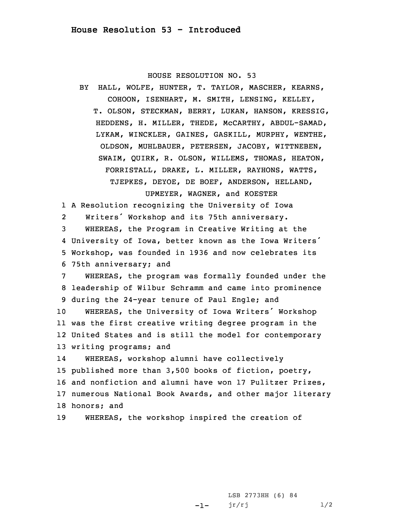## HOUSE RESOLUTION NO. 53

BY HALL, WOLFE, HUNTER, T. TAYLOR, MASCHER, KEARNS, COHOON, ISENHART, M. SMITH, LENSING, KELLEY, T. OLSON, STECKMAN, BERRY, LUKAN, HANSON, KRESSIG, HEDDENS, H. MILLER, THEDE, McCARTHY, ABDUL-SAMAD, LYKAM, WINCKLER, GAINES, GASKILL, MURPHY, WENTHE, OLDSON, MUHLBAUER, PETERSEN, JACOBY, WITTNEBEN, SWAIM, QUIRK, R. OLSON, WILLEMS, THOMAS, HEATON, FORRISTALL, DRAKE, L. MILLER, RAYHONS, WATTS, TJEPKES, DEYOE, DE BOEF, ANDERSON, HELLAND, UPMEYER, WAGNER, and KOESTER

1 <sup>A</sup> Resolution recognizing the University of Iowa

2Writers' Workshop and its 75th anniversary.

 WHEREAS, the Program in Creative Writing at the University of Iowa, better known as the Iowa Writers' Workshop, was founded in 1936 and now celebrates its 75th anniversary; and

 WHEREAS, the program was formally founded under the leadership of Wilbur Schramm and came into prominence during the 24-year tenure of Paul Engle; and WHEREAS, the University of Iowa Writers' Workshop was the first creative writing degree program in the United States and is still the model for contemporary writing programs; and

14 WHEREAS, workshop alumni have collectively published more than 3,500 books of fiction, poetry, and nonfiction and alumni have won 17 Pulitzer Prizes, numerous National Book Awards, and other major literary honors; and

19 WHEREAS, the workshop inspired the creation of

-1-LSB 2773HH (6) 84  $jr/rj$  1/2